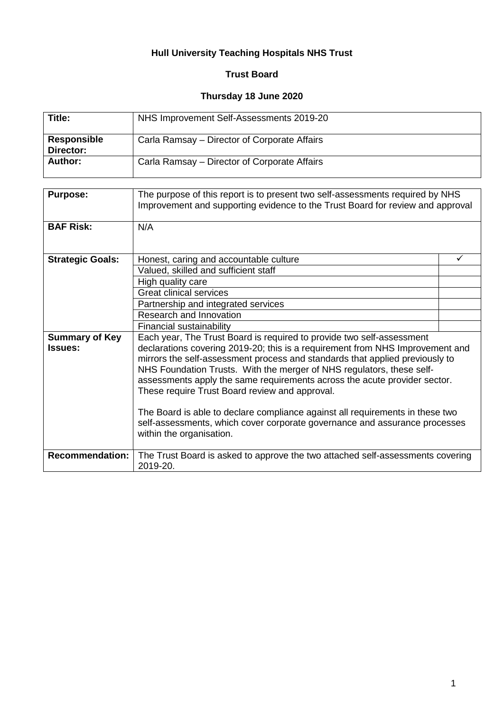# **Hull University Teaching Hospitals NHS Trust**

# **Trust Board**

## **Thursday 18 June 2020**

| Title:                          | NHS Improvement Self-Assessments 2019-20     |
|---------------------------------|----------------------------------------------|
| <b>Responsible</b><br>Director: | Carla Ramsay – Director of Corporate Affairs |
| Author:                         | Carla Ramsay – Director of Corporate Affairs |

| <b>Purpose:</b>         | The purpose of this report is to present two self-assessments required by NHS<br>Improvement and supporting evidence to the Trust Board for review and approval                                                                                                                                                                                                                                                                                        |  |
|-------------------------|--------------------------------------------------------------------------------------------------------------------------------------------------------------------------------------------------------------------------------------------------------------------------------------------------------------------------------------------------------------------------------------------------------------------------------------------------------|--|
| <b>BAF Risk:</b>        | N/A                                                                                                                                                                                                                                                                                                                                                                                                                                                    |  |
| <b>Strategic Goals:</b> | Honest, caring and accountable culture                                                                                                                                                                                                                                                                                                                                                                                                                 |  |
|                         | Valued, skilled and sufficient staff                                                                                                                                                                                                                                                                                                                                                                                                                   |  |
|                         | High quality care                                                                                                                                                                                                                                                                                                                                                                                                                                      |  |
|                         | <b>Great clinical services</b>                                                                                                                                                                                                                                                                                                                                                                                                                         |  |
|                         | Partnership and integrated services                                                                                                                                                                                                                                                                                                                                                                                                                    |  |
|                         | Research and Innovation                                                                                                                                                                                                                                                                                                                                                                                                                                |  |
|                         | Financial sustainability                                                                                                                                                                                                                                                                                                                                                                                                                               |  |
| <b>Summary of Key</b>   | Each year, The Trust Board is required to provide two self-assessment                                                                                                                                                                                                                                                                                                                                                                                  |  |
| <b>Issues:</b>          | declarations covering 2019-20; this is a requirement from NHS Improvement and<br>mirrors the self-assessment process and standards that applied previously to<br>NHS Foundation Trusts. With the merger of NHS regulators, these self-<br>assessments apply the same requirements across the acute provider sector.<br>These require Trust Board review and approval.<br>The Board is able to declare compliance against all requirements in these two |  |
|                         | self-assessments, which cover corporate governance and assurance processes<br>within the organisation.                                                                                                                                                                                                                                                                                                                                                 |  |
| <b>Recommendation:</b>  | The Trust Board is asked to approve the two attached self-assessments covering<br>$2019 - 20$ .                                                                                                                                                                                                                                                                                                                                                        |  |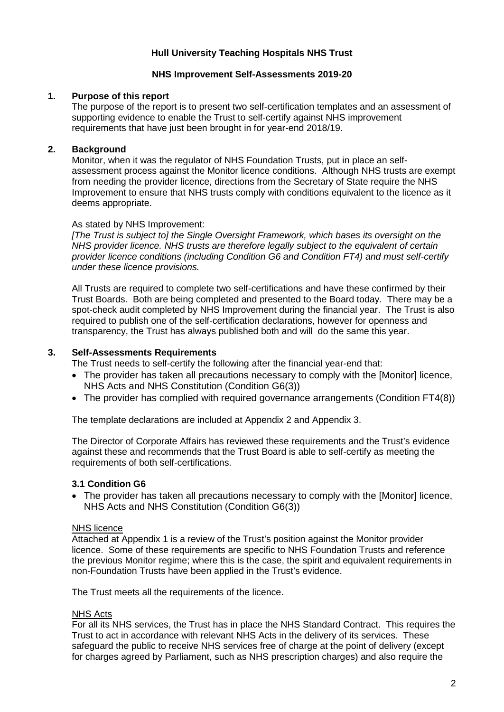### **Hull University Teaching Hospitals NHS Trust**

#### **NHS Improvement Self-Assessments 2019-20**

#### **1. Purpose of this report**

The purpose of the report is to present two self-certification templates and an assessment of supporting evidence to enable the Trust to self-certify against NHS improvement requirements that have just been brought in for year-end 2018/19.

#### **2. Background**

Monitor, when it was the regulator of NHS Foundation Trusts, put in place an selfassessment process against the Monitor licence conditions. Although NHS trusts are exempt from needing the provider licence, directions from the Secretary of State require the NHS Improvement to ensure that NHS trusts comply with conditions equivalent to the licence as it deems appropriate.

#### As stated by NHS Improvement:

*[The Trust is subject to] the Single Oversight Framework, which bases its oversight on the NHS provider licence. NHS trusts are therefore legally subject to the equivalent of certain provider licence conditions (including Condition G6 and Condition FT4) and must self-certify under these licence provisions.* 

All Trusts are required to complete two self-certifications and have these confirmed by their Trust Boards. Both are being completed and presented to the Board today. There may be a spot-check audit completed by NHS Improvement during the financial year. The Trust is also required to publish one of the self-certification declarations, however for openness and transparency, the Trust has always published both and will do the same this year.

#### **3. Self-Assessments Requirements**

The Trust needs to self-certify the following after the financial year-end that:

- The provider has taken all precautions necessary to comply with the [Monitor] licence, NHS Acts and NHS Constitution (Condition G6(3))
- The provider has complied with required governance arrangements (Condition FT4(8))

The template declarations are included at Appendix 2 and Appendix 3.

The Director of Corporate Affairs has reviewed these requirements and the Trust's evidence against these and recommends that the Trust Board is able to self-certify as meeting the requirements of both self-certifications.

#### **3.1 Condition G6**

• The provider has taken all precautions necessary to comply with the [Monitor] licence, NHS Acts and NHS Constitution (Condition G6(3))

#### NHS licence

Attached at Appendix 1 is a review of the Trust's position against the Monitor provider licence. Some of these requirements are specific to NHS Foundation Trusts and reference the previous Monitor regime; where this is the case, the spirit and equivalent requirements in non-Foundation Trusts have been applied in the Trust's evidence.

The Trust meets all the requirements of the licence.

#### NHS Acts

For all its NHS services, the Trust has in place the NHS Standard Contract. This requires the Trust to act in accordance with relevant NHS Acts in the delivery of its services. These safeguard the public to receive NHS services free of charge at the point of delivery (except for charges agreed by Parliament, such as NHS prescription charges) and also require the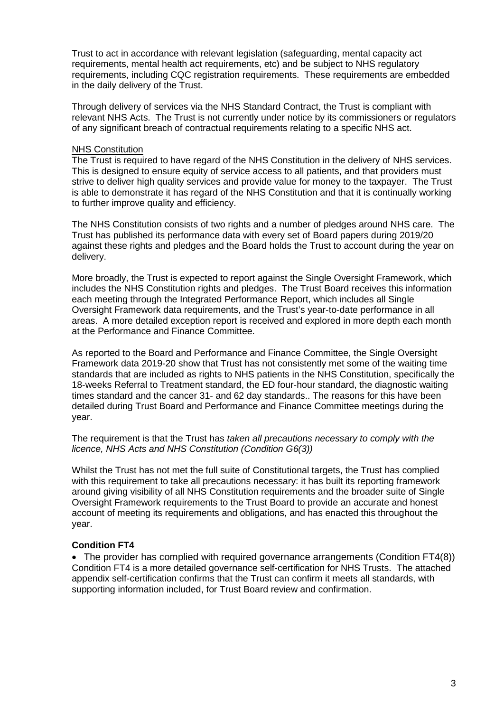Trust to act in accordance with relevant legislation (safeguarding, mental capacity act requirements, mental health act requirements, etc) and be subject to NHS regulatory requirements, including CQC registration requirements. These requirements are embedded in the daily delivery of the Trust.

Through delivery of services via the NHS Standard Contract, the Trust is compliant with relevant NHS Acts. The Trust is not currently under notice by its commissioners or regulators of any significant breach of contractual requirements relating to a specific NHS act.

#### NHS Constitution

The Trust is required to have regard of the NHS Constitution in the delivery of NHS services. This is designed to ensure equity of service access to all patients, and that providers must strive to deliver high quality services and provide value for money to the taxpayer. The Trust is able to demonstrate it has regard of the NHS Constitution and that it is continually working to further improve quality and efficiency.

The NHS Constitution consists of two rights and a number of pledges around NHS care. The Trust has published its performance data with every set of Board papers during 2019/20 against these rights and pledges and the Board holds the Trust to account during the year on delivery.

More broadly, the Trust is expected to report against the Single Oversight Framework, which includes the NHS Constitution rights and pledges. The Trust Board receives this information each meeting through the Integrated Performance Report, which includes all Single Oversight Framework data requirements, and the Trust's year-to-date performance in all areas. A more detailed exception report is received and explored in more depth each month at the Performance and Finance Committee.

As reported to the Board and Performance and Finance Committee, the Single Oversight Framework data 2019-20 show that Trust has not consistently met some of the waiting time standards that are included as rights to NHS patients in the NHS Constitution, specifically the 18-weeks Referral to Treatment standard, the ED four-hour standard, the diagnostic waiting times standard and the cancer 31- and 62 day standards.. The reasons for this have been detailed during Trust Board and Performance and Finance Committee meetings during the year.

The requirement is that the Trust has *taken all precautions necessary to comply with the licence, NHS Acts and NHS Constitution (Condition G6(3))*

Whilst the Trust has not met the full suite of Constitutional targets, the Trust has complied with this requirement to take all precautions necessary: it has built its reporting framework around giving visibility of all NHS Constitution requirements and the broader suite of Single Oversight Framework requirements to the Trust Board to provide an accurate and honest account of meeting its requirements and obligations, and has enacted this throughout the year.

### **Condition FT4**

• The provider has complied with required governance arrangements (Condition FT4(8)) Condition FT4 is a more detailed governance self-certification for NHS Trusts. The attached appendix self-certification confirms that the Trust can confirm it meets all standards, with supporting information included, for Trust Board review and confirmation.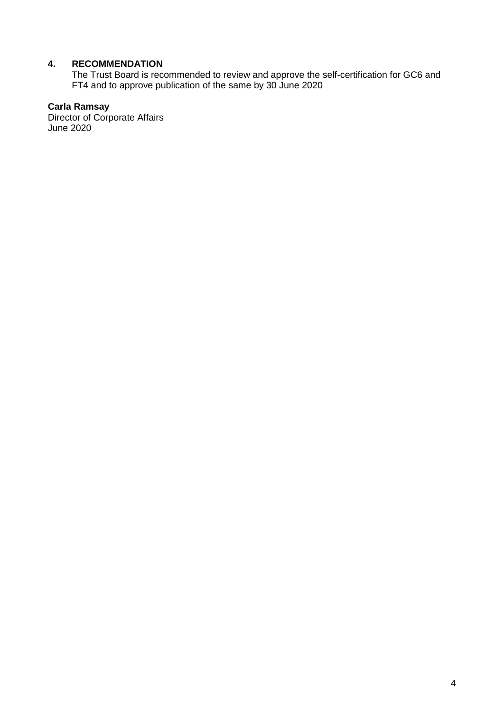# **4. RECOMMENDATION**

The Trust Board is recommended to review and approve the self-certification for GC6 and FT4 and to approve publication of the same by 30 June 2020

### **Carla Ramsay**

Director of Corporate Affairs June 2020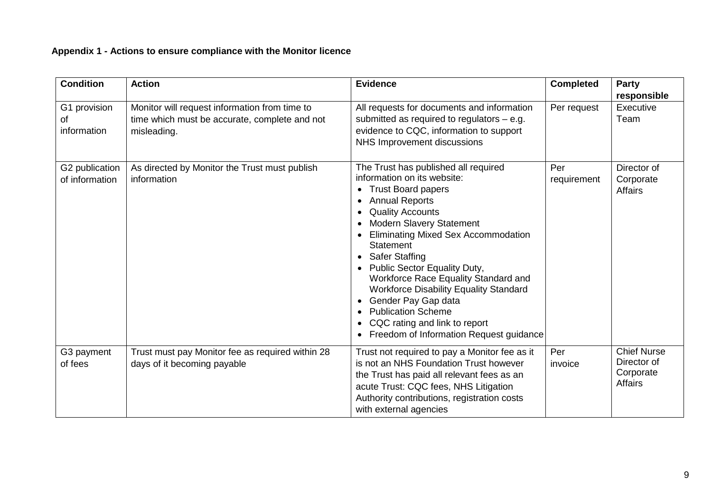# **Appendix 1 - Actions to ensure compliance with the Monitor licence**

| <b>Condition</b>                  | <b>Action</b>                                                                                                 | <b>Evidence</b>                                                                                                                                                                                                                                                                                                                                                                                                                                                                                                                                                | <b>Completed</b>   | <b>Party</b><br>responsible                                      |
|-----------------------------------|---------------------------------------------------------------------------------------------------------------|----------------------------------------------------------------------------------------------------------------------------------------------------------------------------------------------------------------------------------------------------------------------------------------------------------------------------------------------------------------------------------------------------------------------------------------------------------------------------------------------------------------------------------------------------------------|--------------------|------------------------------------------------------------------|
| G1 provision<br>of<br>information | Monitor will request information from time to<br>time which must be accurate, complete and not<br>misleading. | All requests for documents and information<br>submitted as required to regulators $-$ e.g.<br>evidence to CQC, information to support<br>NHS Improvement discussions                                                                                                                                                                                                                                                                                                                                                                                           | Per request        | Executive<br>Team                                                |
| G2 publication<br>of information  | As directed by Monitor the Trust must publish<br>information                                                  | The Trust has published all required<br>information on its website:<br><b>Trust Board papers</b><br><b>Annual Reports</b><br><b>Quality Accounts</b><br>Modern Slavery Statement<br><b>Eliminating Mixed Sex Accommodation</b><br><b>Statement</b><br><b>Safer Staffing</b><br>$\bullet$<br>Public Sector Equality Duty,<br>$\bullet$<br>Workforce Race Equality Standard and<br><b>Workforce Disability Equality Standard</b><br>Gender Pay Gap data<br><b>Publication Scheme</b><br>CQC rating and link to report<br>Freedom of Information Request guidance | Per<br>requirement | Director of<br>Corporate<br><b>Affairs</b>                       |
| G3 payment<br>of fees             | Trust must pay Monitor fee as required within 28<br>days of it becoming payable                               | Trust not required to pay a Monitor fee as it<br>is not an NHS Foundation Trust however<br>the Trust has paid all relevant fees as an<br>acute Trust: CQC fees, NHS Litigation<br>Authority contributions, registration costs<br>with external agencies                                                                                                                                                                                                                                                                                                        | Per<br>invoice     | <b>Chief Nurse</b><br>Director of<br>Corporate<br><b>Affairs</b> |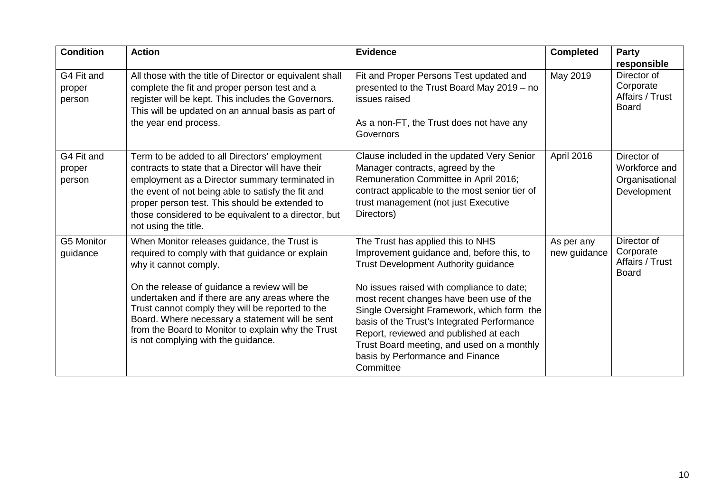| <b>Condition</b>               | <b>Action</b>                                                                                                                                                                                                                                                                                                                                                                                                                   | <b>Evidence</b>                                                                                                                                                                                                                                                                                                                                                                                                                                              | <b>Completed</b>           | Party<br>responsible                                          |
|--------------------------------|---------------------------------------------------------------------------------------------------------------------------------------------------------------------------------------------------------------------------------------------------------------------------------------------------------------------------------------------------------------------------------------------------------------------------------|--------------------------------------------------------------------------------------------------------------------------------------------------------------------------------------------------------------------------------------------------------------------------------------------------------------------------------------------------------------------------------------------------------------------------------------------------------------|----------------------------|---------------------------------------------------------------|
| G4 Fit and<br>proper<br>person | All those with the title of Director or equivalent shall<br>complete the fit and proper person test and a<br>register will be kept. This includes the Governors.<br>This will be updated on an annual basis as part of<br>the year end process.                                                                                                                                                                                 | Fit and Proper Persons Test updated and<br>presented to the Trust Board May 2019 - no<br>issues raised<br>As a non-FT, the Trust does not have any<br>Governors                                                                                                                                                                                                                                                                                              | May 2019                   | Director of<br>Corporate<br>Affairs / Trust<br><b>Board</b>   |
| G4 Fit and<br>proper<br>person | Term to be added to all Directors' employment<br>contracts to state that a Director will have their<br>employment as a Director summary terminated in<br>the event of not being able to satisfy the fit and<br>proper person test. This should be extended to<br>those considered to be equivalent to a director, but<br>not using the title.                                                                                   | Clause included in the updated Very Senior<br>Manager contracts, agreed by the<br>Remuneration Committee in April 2016;<br>contract applicable to the most senior tier of<br>trust management (not just Executive<br>Directors)                                                                                                                                                                                                                              | April 2016                 | Director of<br>Workforce and<br>Organisational<br>Development |
| G5 Monitor<br>guidance         | When Monitor releases guidance, the Trust is<br>required to comply with that guidance or explain<br>why it cannot comply.<br>On the release of guidance a review will be<br>undertaken and if there are any areas where the<br>Trust cannot comply they will be reported to the<br>Board. Where necessary a statement will be sent<br>from the Board to Monitor to explain why the Trust<br>is not complying with the guidance. | The Trust has applied this to NHS<br>Improvement guidance and, before this, to<br><b>Trust Development Authority guidance</b><br>No issues raised with compliance to date;<br>most recent changes have been use of the<br>Single Oversight Framework, which form the<br>basis of the Trust's Integrated Performance<br>Report, reviewed and published at each<br>Trust Board meeting, and used on a monthly<br>basis by Performance and Finance<br>Committee | As per any<br>new guidance | Director of<br>Corporate<br>Affairs / Trust<br><b>Board</b>   |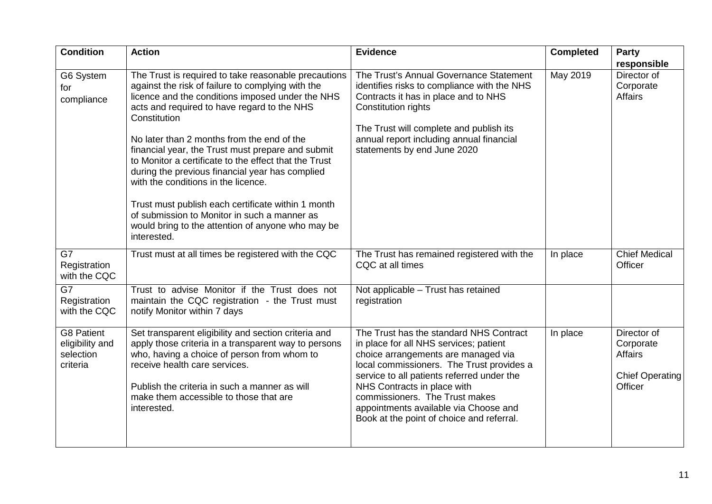| <b>Condition</b>                                              | <b>Action</b>                                                                                                                                                                                                                                                                                                                                                                                                                                                                                                                                                                                                                                                | <b>Evidence</b>                                                                                                                                                                                                                                                                                                                                                            | <b>Completed</b> | Party                                                                           |
|---------------------------------------------------------------|--------------------------------------------------------------------------------------------------------------------------------------------------------------------------------------------------------------------------------------------------------------------------------------------------------------------------------------------------------------------------------------------------------------------------------------------------------------------------------------------------------------------------------------------------------------------------------------------------------------------------------------------------------------|----------------------------------------------------------------------------------------------------------------------------------------------------------------------------------------------------------------------------------------------------------------------------------------------------------------------------------------------------------------------------|------------------|---------------------------------------------------------------------------------|
| G6 System<br>for<br>compliance                                | The Trust is required to take reasonable precautions<br>against the risk of failure to complying with the<br>licence and the conditions imposed under the NHS<br>acts and required to have regard to the NHS<br>Constitution<br>No later than 2 months from the end of the<br>financial year, the Trust must prepare and submit<br>to Monitor a certificate to the effect that the Trust<br>during the previous financial year has complied<br>with the conditions in the licence.<br>Trust must publish each certificate within 1 month<br>of submission to Monitor in such a manner as<br>would bring to the attention of anyone who may be<br>interested. | The Trust's Annual Governance Statement<br>identifies risks to compliance with the NHS<br>Contracts it has in place and to NHS<br><b>Constitution rights</b><br>The Trust will complete and publish its<br>annual report including annual financial<br>statements by end June 2020                                                                                         | May 2019         | responsible<br>Director of<br>Corporate<br><b>Affairs</b>                       |
| G7<br>Registration<br>with the CQC                            | Trust must at all times be registered with the CQC                                                                                                                                                                                                                                                                                                                                                                                                                                                                                                                                                                                                           | The Trust has remained registered with the<br>CQC at all times                                                                                                                                                                                                                                                                                                             | In place         | <b>Chief Medical</b><br>Officer                                                 |
| G7<br>Registration<br>with the CQC                            | Trust to advise Monitor if the Trust does not<br>maintain the CQC registration - the Trust must<br>notify Monitor within 7 days                                                                                                                                                                                                                                                                                                                                                                                                                                                                                                                              | Not applicable - Trust has retained<br>registration                                                                                                                                                                                                                                                                                                                        |                  |                                                                                 |
| <b>G8 Patient</b><br>eligibility and<br>selection<br>criteria | Set transparent eligibility and section criteria and<br>apply those criteria in a transparent way to persons<br>who, having a choice of person from whom to<br>receive health care services.<br>Publish the criteria in such a manner as will<br>make them accessible to those that are<br>interested.                                                                                                                                                                                                                                                                                                                                                       | The Trust has the standard NHS Contract<br>in place for all NHS services; patient<br>choice arrangements are managed via<br>local commissioners. The Trust provides a<br>service to all patients referred under the<br>NHS Contracts in place with<br>commissioners. The Trust makes<br>appointments available via Choose and<br>Book at the point of choice and referral. | In place         | Director of<br>Corporate<br><b>Affairs</b><br><b>Chief Operating</b><br>Officer |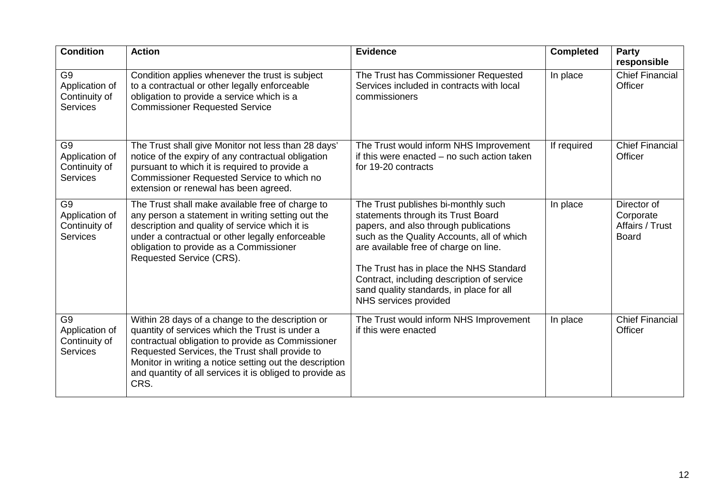| <b>Condition</b>                                                     | <b>Action</b>                                                                                                                                                                                                                                                                                                                             | <b>Evidence</b>                                                                                                                                                                                                                                                                                                                                                         | <b>Completed</b> | Party<br>responsible                                        |
|----------------------------------------------------------------------|-------------------------------------------------------------------------------------------------------------------------------------------------------------------------------------------------------------------------------------------------------------------------------------------------------------------------------------------|-------------------------------------------------------------------------------------------------------------------------------------------------------------------------------------------------------------------------------------------------------------------------------------------------------------------------------------------------------------------------|------------------|-------------------------------------------------------------|
| G <sub>9</sub><br>Application of<br>Continuity of<br><b>Services</b> | Condition applies whenever the trust is subject<br>to a contractual or other legally enforceable<br>obligation to provide a service which is a<br><b>Commissioner Requested Service</b>                                                                                                                                                   | The Trust has Commissioner Requested<br>Services included in contracts with local<br>commissioners                                                                                                                                                                                                                                                                      | In place         | <b>Chief Financial</b><br>Officer                           |
| G <sub>9</sub><br>Application of<br>Continuity of<br><b>Services</b> | The Trust shall give Monitor not less than 28 days'<br>notice of the expiry of any contractual obligation<br>pursuant to which it is required to provide a<br>Commissioner Requested Service to which no<br>extension or renewal has been agreed.                                                                                         | The Trust would inform NHS Improvement<br>if this were enacted - no such action taken<br>for 19-20 contracts                                                                                                                                                                                                                                                            | If required      | <b>Chief Financial</b><br>Officer                           |
| G <sub>9</sub><br>Application of<br>Continuity of<br><b>Services</b> | The Trust shall make available free of charge to<br>any person a statement in writing setting out the<br>description and quality of service which it is<br>under a contractual or other legally enforceable<br>obligation to provide as a Commissioner<br>Requested Service (CRS).                                                        | The Trust publishes bi-monthly such<br>statements through its Trust Board<br>papers, and also through publications<br>such as the Quality Accounts, all of which<br>are available free of charge on line.<br>The Trust has in place the NHS Standard<br>Contract, including description of service<br>sand quality standards, in place for all<br>NHS services provided | In place         | Director of<br>Corporate<br>Affairs / Trust<br><b>Board</b> |
| G <sub>9</sub><br>Application of<br>Continuity of<br><b>Services</b> | Within 28 days of a change to the description or<br>quantity of services which the Trust is under a<br>contractual obligation to provide as Commissioner<br>Requested Services, the Trust shall provide to<br>Monitor in writing a notice setting out the description<br>and quantity of all services it is obliged to provide as<br>CRS. | The Trust would inform NHS Improvement<br>if this were enacted                                                                                                                                                                                                                                                                                                          | In place         | <b>Chief Financial</b><br>Officer                           |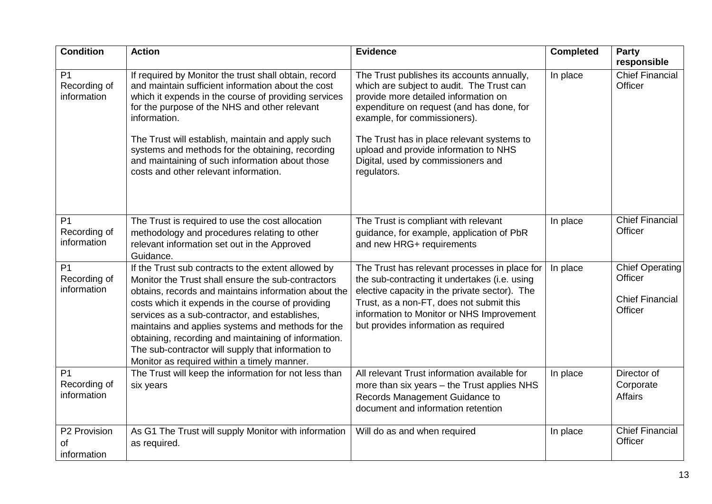| <b>Condition</b>                              | <b>Action</b>                                                                                                                                                                                                                                                                                                                                                                                                                                                                              | <b>Evidence</b>                                                                                                                                                                                                                                                                                                                                          | <b>Completed</b> | Party<br>responsible                                                   |
|-----------------------------------------------|--------------------------------------------------------------------------------------------------------------------------------------------------------------------------------------------------------------------------------------------------------------------------------------------------------------------------------------------------------------------------------------------------------------------------------------------------------------------------------------------|----------------------------------------------------------------------------------------------------------------------------------------------------------------------------------------------------------------------------------------------------------------------------------------------------------------------------------------------------------|------------------|------------------------------------------------------------------------|
| P <sub>1</sub><br>Recording of<br>information | If required by Monitor the trust shall obtain, record<br>and maintain sufficient information about the cost<br>which it expends in the course of providing services<br>for the purpose of the NHS and other relevant<br>information.<br>The Trust will establish, maintain and apply such<br>systems and methods for the obtaining, recording<br>and maintaining of such information about those<br>costs and other relevant information.                                                  | The Trust publishes its accounts annually,<br>which are subject to audit. The Trust can<br>provide more detailed information on<br>expenditure on request (and has done, for<br>example, for commissioners).<br>The Trust has in place relevant systems to<br>upload and provide information to NHS<br>Digital, used by commissioners and<br>regulators. | In place         | <b>Chief Financial</b><br>Officer                                      |
| P <sub>1</sub><br>Recording of<br>information | The Trust is required to use the cost allocation<br>methodology and procedures relating to other<br>relevant information set out in the Approved<br>Guidance.                                                                                                                                                                                                                                                                                                                              | The Trust is compliant with relevant<br>guidance, for example, application of PbR<br>and new HRG+ requirements                                                                                                                                                                                                                                           | In place         | <b>Chief Financial</b><br>Officer                                      |
| P <sub>1</sub><br>Recording of<br>information | If the Trust sub contracts to the extent allowed by<br>Monitor the Trust shall ensure the sub-contractors<br>obtains, records and maintains information about the<br>costs which it expends in the course of providing<br>services as a sub-contractor, and establishes,<br>maintains and applies systems and methods for the<br>obtaining, recording and maintaining of information.<br>The sub-contractor will supply that information to<br>Monitor as required within a timely manner. | The Trust has relevant processes in place for<br>the sub-contracting it undertakes (i.e. using<br>elective capacity in the private sector). The<br>Trust, as a non-FT, does not submit this<br>information to Monitor or NHS Improvement<br>but provides information as required                                                                         | In place         | <b>Chief Operating</b><br>Officer<br><b>Chief Financial</b><br>Officer |
| P <sub>1</sub><br>Recording of<br>information | The Trust will keep the information for not less than<br>six years                                                                                                                                                                                                                                                                                                                                                                                                                         | All relevant Trust information available for<br>more than six years - the Trust applies NHS<br>Records Management Guidance to<br>document and information retention                                                                                                                                                                                      | In place         | Director of<br>Corporate<br><b>Affairs</b>                             |
| P2 Provision<br>of<br>information             | As G1 The Trust will supply Monitor with information<br>as required.                                                                                                                                                                                                                                                                                                                                                                                                                       | Will do as and when required                                                                                                                                                                                                                                                                                                                             | In place         | <b>Chief Financial</b><br>Officer                                      |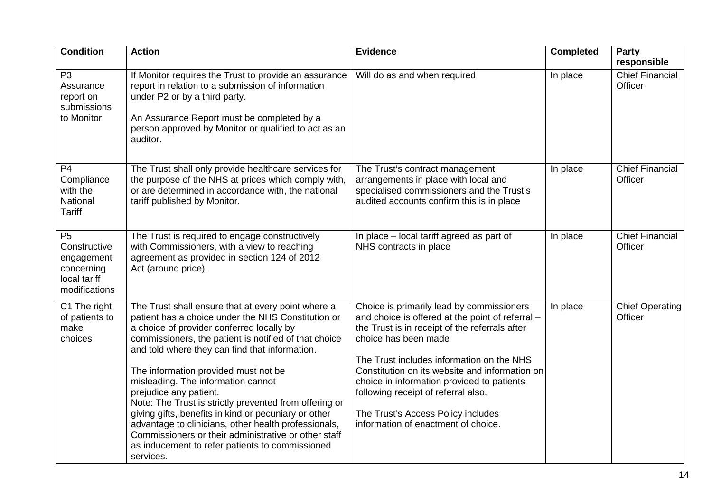| <b>Condition</b>                                                                            | <b>Action</b>                                                                                                                                                                                                                                                                                                                                                                                                                                                                                                                                                                                                                                                              | <b>Evidence</b>                                                                                                                                                                                                                                                                                                                                                                                                                          | <b>Completed</b> | <b>Party</b><br>responsible       |
|---------------------------------------------------------------------------------------------|----------------------------------------------------------------------------------------------------------------------------------------------------------------------------------------------------------------------------------------------------------------------------------------------------------------------------------------------------------------------------------------------------------------------------------------------------------------------------------------------------------------------------------------------------------------------------------------------------------------------------------------------------------------------------|------------------------------------------------------------------------------------------------------------------------------------------------------------------------------------------------------------------------------------------------------------------------------------------------------------------------------------------------------------------------------------------------------------------------------------------|------------------|-----------------------------------|
| P <sub>3</sub><br>Assurance<br>report on<br>submissions<br>to Monitor                       | If Monitor requires the Trust to provide an assurance<br>report in relation to a submission of information<br>under P2 or by a third party.<br>An Assurance Report must be completed by a<br>person approved by Monitor or qualified to act as an<br>auditor.                                                                                                                                                                                                                                                                                                                                                                                                              | Will do as and when required                                                                                                                                                                                                                                                                                                                                                                                                             | In place         | <b>Chief Financial</b><br>Officer |
| P <sub>4</sub><br>Compliance<br>with the<br>National<br><b>Tariff</b>                       | The Trust shall only provide healthcare services for<br>the purpose of the NHS at prices which comply with,<br>or are determined in accordance with, the national<br>tariff published by Monitor.                                                                                                                                                                                                                                                                                                                                                                                                                                                                          | The Trust's contract management<br>arrangements in place with local and<br>specialised commissioners and the Trust's<br>audited accounts confirm this is in place                                                                                                                                                                                                                                                                        | In place         | <b>Chief Financial</b><br>Officer |
| P <sub>5</sub><br>Constructive<br>engagement<br>concerning<br>local tariff<br>modifications | The Trust is required to engage constructively<br>with Commissioners, with a view to reaching<br>agreement as provided in section 124 of 2012<br>Act (around price).                                                                                                                                                                                                                                                                                                                                                                                                                                                                                                       | In place – local tariff agreed as part of<br>NHS contracts in place                                                                                                                                                                                                                                                                                                                                                                      | In place         | <b>Chief Financial</b><br>Officer |
| C1 The right<br>of patients to<br>make<br>choices                                           | The Trust shall ensure that at every point where a<br>patient has a choice under the NHS Constitution or<br>a choice of provider conferred locally by<br>commissioners, the patient is notified of that choice<br>and told where they can find that information.<br>The information provided must not be<br>misleading. The information cannot<br>prejudice any patient.<br>Note: The Trust is strictly prevented from offering or<br>giving gifts, benefits in kind or pecuniary or other<br>advantage to clinicians, other health professionals,<br>Commissioners or their administrative or other staff<br>as inducement to refer patients to commissioned<br>services. | Choice is primarily lead by commissioners<br>and choice is offered at the point of referral -<br>the Trust is in receipt of the referrals after<br>choice has been made<br>The Trust includes information on the NHS<br>Constitution on its website and information on<br>choice in information provided to patients<br>following receipt of referral also.<br>The Trust's Access Policy includes<br>information of enactment of choice. | In place         | <b>Chief Operating</b><br>Officer |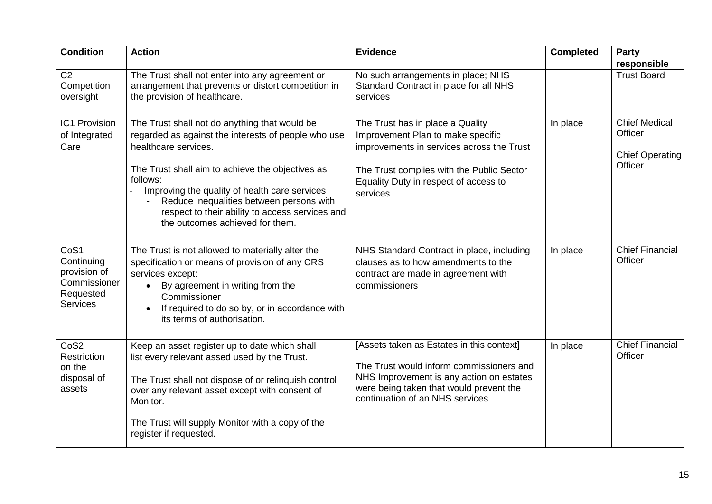| <b>Condition</b>                                                                   | <b>Action</b>                                                                                                                                                                                                                                                                                                                                                                   | <b>Evidence</b>                                                                                                                                                                                                      | <b>Completed</b> | Party<br>responsible                                                 |
|------------------------------------------------------------------------------------|---------------------------------------------------------------------------------------------------------------------------------------------------------------------------------------------------------------------------------------------------------------------------------------------------------------------------------------------------------------------------------|----------------------------------------------------------------------------------------------------------------------------------------------------------------------------------------------------------------------|------------------|----------------------------------------------------------------------|
| $\overline{C2}$<br>Competition<br>oversight                                        | The Trust shall not enter into any agreement or<br>arrangement that prevents or distort competition in<br>the provision of healthcare.                                                                                                                                                                                                                                          | No such arrangements in place; NHS<br>Standard Contract in place for all NHS<br>services                                                                                                                             |                  | <b>Trust Board</b>                                                   |
| <b>IC1 Provision</b><br>of Integrated<br>Care                                      | The Trust shall not do anything that would be<br>regarded as against the interests of people who use<br>healthcare services.<br>The Trust shall aim to achieve the objectives as<br>follows:<br>Improving the quality of health care services<br>Reduce inequalities between persons with<br>respect to their ability to access services and<br>the outcomes achieved for them. | The Trust has in place a Quality<br>Improvement Plan to make specific<br>improvements in services across the Trust<br>The Trust complies with the Public Sector<br>Equality Duty in respect of access to<br>services | In place         | <b>Chief Medical</b><br>Officer<br><b>Chief Operating</b><br>Officer |
| CoS1<br>Continuing<br>provision of<br>Commissioner<br>Requested<br><b>Services</b> | The Trust is not allowed to materially alter the<br>specification or means of provision of any CRS<br>services except:<br>By agreement in writing from the<br>$\bullet$<br>Commissioner<br>If required to do so by, or in accordance with<br>its terms of authorisation.                                                                                                        | NHS Standard Contract in place, including<br>clauses as to how amendments to the<br>contract are made in agreement with<br>commissioners                                                                             | In place         | <b>Chief Financial</b><br>Officer                                    |
| CoS <sub>2</sub><br>Restriction<br>on the<br>disposal of<br>assets                 | Keep an asset register up to date which shall<br>list every relevant assed used by the Trust.<br>The Trust shall not dispose of or relinquish control<br>over any relevant asset except with consent of<br>Monitor.<br>The Trust will supply Monitor with a copy of the<br>register if requested.                                                                               | [Assets taken as Estates in this context]<br>The Trust would inform commissioners and<br>NHS Improvement is any action on estates<br>were being taken that would prevent the<br>continuation of an NHS services      | In place         | <b>Chief Financial</b><br>Officer                                    |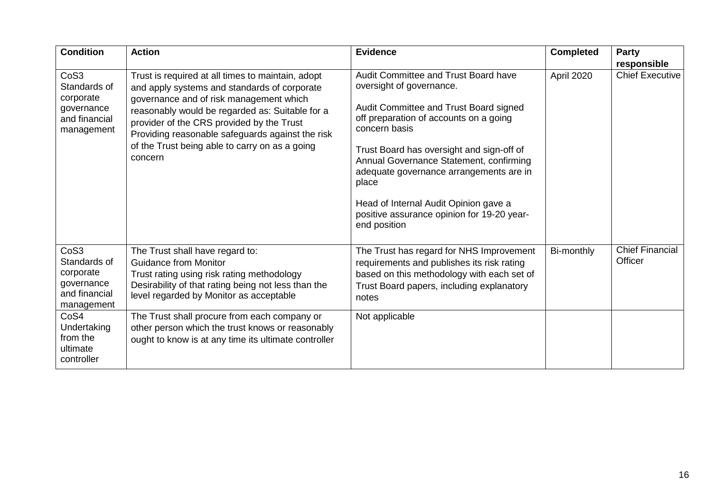| <b>Condition</b>                                                                           | <b>Action</b>                                                                                                                                                                                                                                                                                                                                                 | <b>Evidence</b>                                                                                                                                                                                                                                                                                                                                                                                                          | <b>Completed</b> | Party<br>responsible              |
|--------------------------------------------------------------------------------------------|---------------------------------------------------------------------------------------------------------------------------------------------------------------------------------------------------------------------------------------------------------------------------------------------------------------------------------------------------------------|--------------------------------------------------------------------------------------------------------------------------------------------------------------------------------------------------------------------------------------------------------------------------------------------------------------------------------------------------------------------------------------------------------------------------|------------------|-----------------------------------|
| CoS <sub>3</sub><br>Standards of<br>corporate<br>governance<br>and financial<br>management | Trust is required at all times to maintain, adopt<br>and apply systems and standards of corporate<br>governance and of risk management which<br>reasonably would be regarded as: Suitable for a<br>provider of the CRS provided by the Trust<br>Providing reasonable safeguards against the risk<br>of the Trust being able to carry on as a going<br>concern | Audit Committee and Trust Board have<br>oversight of governance.<br>Audit Committee and Trust Board signed<br>off preparation of accounts on a going<br>concern basis<br>Trust Board has oversight and sign-off of<br>Annual Governance Statement, confirming<br>adequate governance arrangements are in<br>place<br>Head of Internal Audit Opinion gave a<br>positive assurance opinion for 19-20 year-<br>end position | April 2020       | <b>Chief Executive</b>            |
| CoS <sub>3</sub><br>Standards of<br>corporate<br>governance<br>and financial<br>management | The Trust shall have regard to:<br><b>Guidance from Monitor</b><br>Trust rating using risk rating methodology<br>Desirability of that rating being not less than the<br>level regarded by Monitor as acceptable                                                                                                                                               | The Trust has regard for NHS Improvement<br>requirements and publishes its risk rating<br>based on this methodology with each set of<br>Trust Board papers, including explanatory<br>notes                                                                                                                                                                                                                               | Bi-monthly       | <b>Chief Financial</b><br>Officer |
| CoS4<br>Undertaking<br>from the<br>ultimate<br>controller                                  | The Trust shall procure from each company or<br>other person which the trust knows or reasonably<br>ought to know is at any time its ultimate controller                                                                                                                                                                                                      | Not applicable                                                                                                                                                                                                                                                                                                                                                                                                           |                  |                                   |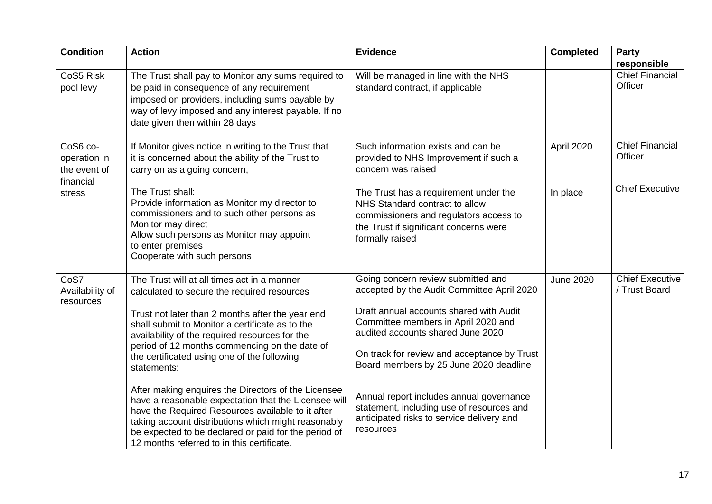| <b>Condition</b>                                      | <b>Action</b>                                                                                                                                                                                                                                                                                                                 | <b>Evidence</b>                                                                                                                                                                | <b>Completed</b> | <b>Party</b>                      |
|-------------------------------------------------------|-------------------------------------------------------------------------------------------------------------------------------------------------------------------------------------------------------------------------------------------------------------------------------------------------------------------------------|--------------------------------------------------------------------------------------------------------------------------------------------------------------------------------|------------------|-----------------------------------|
|                                                       |                                                                                                                                                                                                                                                                                                                               |                                                                                                                                                                                |                  | responsible                       |
| CoS5 Risk<br>pool levy                                | The Trust shall pay to Monitor any sums required to<br>be paid in consequence of any requirement<br>imposed on providers, including sums payable by<br>way of levy imposed and any interest payable. If no<br>date given then within 28 days                                                                                  | Will be managed in line with the NHS<br>standard contract, if applicable                                                                                                       |                  | <b>Chief Financial</b><br>Officer |
|                                                       |                                                                                                                                                                                                                                                                                                                               |                                                                                                                                                                                |                  |                                   |
| CoS6 co-<br>operation in<br>the event of<br>financial | If Monitor gives notice in writing to the Trust that<br>it is concerned about the ability of the Trust to<br>carry on as a going concern,                                                                                                                                                                                     | Such information exists and can be<br>provided to NHS Improvement if such a<br>concern was raised                                                                              | April 2020       | <b>Chief Financial</b><br>Officer |
| stress                                                | The Trust shall:<br>Provide information as Monitor my director to<br>commissioners and to such other persons as<br>Monitor may direct<br>Allow such persons as Monitor may appoint<br>to enter premises<br>Cooperate with such persons                                                                                        | The Trust has a requirement under the<br>NHS Standard contract to allow<br>commissioners and regulators access to<br>the Trust if significant concerns were<br>formally raised | In place         | <b>Chief Executive</b>            |
| CoS7                                                  | The Trust will at all times act in a manner                                                                                                                                                                                                                                                                                   | Going concern review submitted and                                                                                                                                             | <b>June 2020</b> | <b>Chief Executive</b>            |
| Availability of<br>resources                          | calculated to secure the required resources                                                                                                                                                                                                                                                                                   | accepted by the Audit Committee April 2020                                                                                                                                     |                  | / Trust Board                     |
|                                                       | Trust not later than 2 months after the year end<br>shall submit to Monitor a certificate as to the<br>availability of the required resources for the                                                                                                                                                                         | Draft annual accounts shared with Audit<br>Committee members in April 2020 and<br>audited accounts shared June 2020                                                            |                  |                                   |
|                                                       | period of 12 months commencing on the date of<br>the certificated using one of the following<br>statements:                                                                                                                                                                                                                   | On track for review and acceptance by Trust<br>Board members by 25 June 2020 deadline                                                                                          |                  |                                   |
|                                                       | After making enquires the Directors of the Licensee<br>have a reasonable expectation that the Licensee will<br>have the Required Resources available to it after<br>taking account distributions which might reasonably<br>be expected to be declared or paid for the period of<br>12 months referred to in this certificate. | Annual report includes annual governance<br>statement, including use of resources and<br>anticipated risks to service delivery and<br>resources                                |                  |                                   |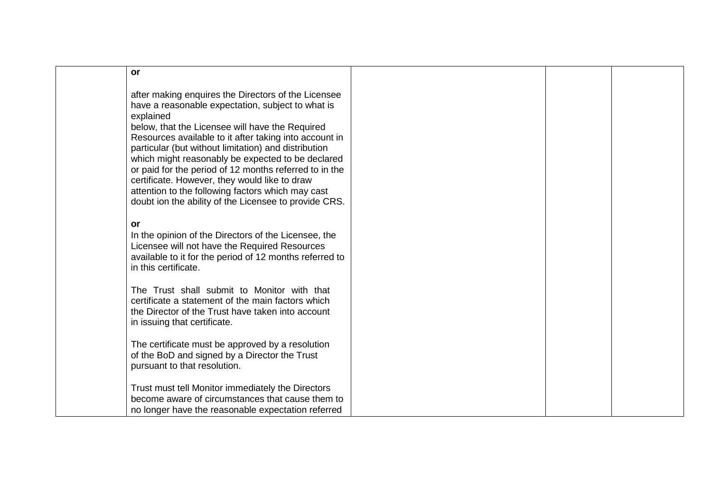| <b>or</b>                    |                                                                                                                                                                                                                                                                                                                                                                                                                                                                                                                                                             |  |
|------------------------------|-------------------------------------------------------------------------------------------------------------------------------------------------------------------------------------------------------------------------------------------------------------------------------------------------------------------------------------------------------------------------------------------------------------------------------------------------------------------------------------------------------------------------------------------------------------|--|
| explained                    | after making enquires the Directors of the Licensee<br>have a reasonable expectation, subject to what is<br>below, that the Licensee will have the Required<br>Resources available to it after taking into account in<br>particular (but without limitation) and distribution<br>which might reasonably be expected to be declared<br>or paid for the period of 12 months referred to in the<br>certificate. However, they would like to draw<br>attention to the following factors which may cast<br>doubt ion the ability of the Licensee to provide CRS. |  |
| or<br>in this certificate.   | In the opinion of the Directors of the Licensee, the<br>Licensee will not have the Required Resources<br>available to it for the period of 12 months referred to                                                                                                                                                                                                                                                                                                                                                                                            |  |
| in issuing that certificate. | The Trust shall submit to Monitor with that<br>certificate a statement of the main factors which<br>the Director of the Trust have taken into account                                                                                                                                                                                                                                                                                                                                                                                                       |  |
| pursuant to that resolution. | The certificate must be approved by a resolution<br>of the BoD and signed by a Director the Trust                                                                                                                                                                                                                                                                                                                                                                                                                                                           |  |
|                              | Trust must tell Monitor immediately the Directors<br>become aware of circumstances that cause them to<br>no longer have the reasonable expectation referred                                                                                                                                                                                                                                                                                                                                                                                                 |  |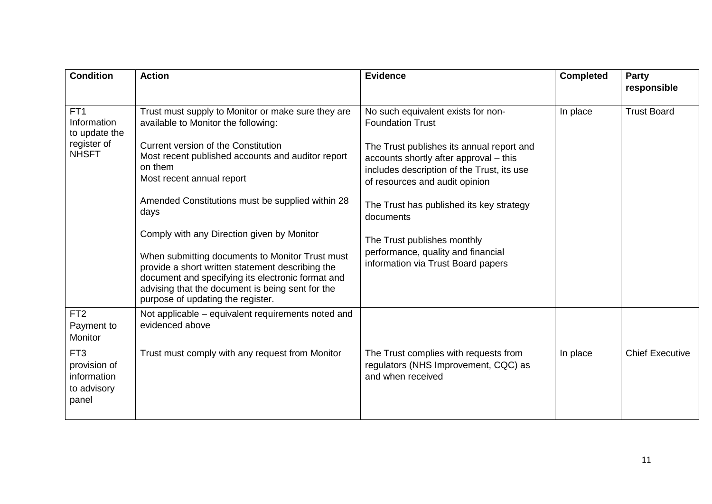| <b>Condition</b>                                                               | <b>Action</b>                                                                                                                                                                                                                                                                                                                                                                                                                                                                                                                                                                                | <b>Evidence</b>                                                                                                                                                                                                                                                                                                                                                                                          | <b>Completed</b> | Party<br>responsible   |
|--------------------------------------------------------------------------------|----------------------------------------------------------------------------------------------------------------------------------------------------------------------------------------------------------------------------------------------------------------------------------------------------------------------------------------------------------------------------------------------------------------------------------------------------------------------------------------------------------------------------------------------------------------------------------------------|----------------------------------------------------------------------------------------------------------------------------------------------------------------------------------------------------------------------------------------------------------------------------------------------------------------------------------------------------------------------------------------------------------|------------------|------------------------|
| FT <sub>1</sub><br>Information<br>to update the<br>register of<br><b>NHSFT</b> | Trust must supply to Monitor or make sure they are<br>available to Monitor the following:<br>Current version of the Constitution<br>Most recent published accounts and auditor report<br>on them<br>Most recent annual report<br>Amended Constitutions must be supplied within 28<br>days<br>Comply with any Direction given by Monitor<br>When submitting documents to Monitor Trust must<br>provide a short written statement describing the<br>document and specifying its electronic format and<br>advising that the document is being sent for the<br>purpose of updating the register. | No such equivalent exists for non-<br><b>Foundation Trust</b><br>The Trust publishes its annual report and<br>accounts shortly after approval - this<br>includes description of the Trust, its use<br>of resources and audit opinion<br>The Trust has published its key strategy<br>documents<br>The Trust publishes monthly<br>performance, quality and financial<br>information via Trust Board papers | In place         | <b>Trust Board</b>     |
| FT <sub>2</sub><br>Payment to<br>Monitor                                       | Not applicable – equivalent requirements noted and<br>evidenced above                                                                                                                                                                                                                                                                                                                                                                                                                                                                                                                        |                                                                                                                                                                                                                                                                                                                                                                                                          |                  |                        |
| FT <sub>3</sub><br>provision of<br>information<br>to advisory<br>panel         | Trust must comply with any request from Monitor                                                                                                                                                                                                                                                                                                                                                                                                                                                                                                                                              | The Trust complies with requests from<br>regulators (NHS Improvement, CQC) as<br>and when received                                                                                                                                                                                                                                                                                                       | In place         | <b>Chief Executive</b> |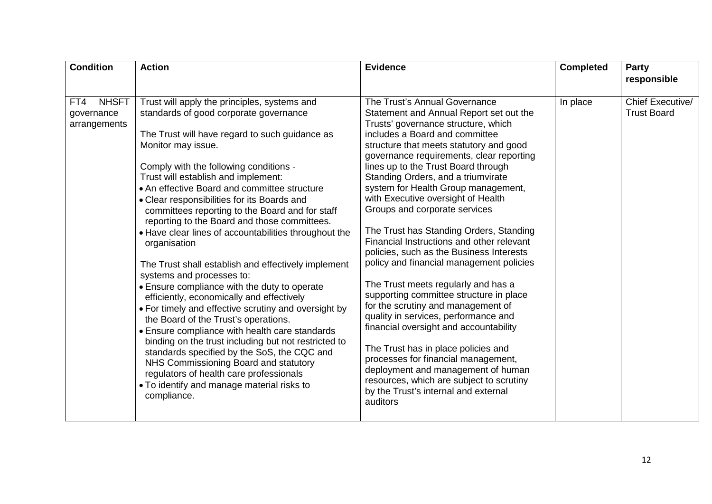| <b>Condition</b>    | <b>Action</b>                                                                                                                                                                                                                             | <b>Evidence</b>                                                                      | <b>Completed</b> | <b>Party</b>       |
|---------------------|-------------------------------------------------------------------------------------------------------------------------------------------------------------------------------------------------------------------------------------------|--------------------------------------------------------------------------------------|------------------|--------------------|
|                     |                                                                                                                                                                                                                                           |                                                                                      |                  | responsible        |
| <b>NHSFT</b><br>FT4 | Trust will apply the principles, systems and                                                                                                                                                                                              | The Trust's Annual Governance                                                        | In place         | Chief Executive/   |
| governance          | standards of good corporate governance                                                                                                                                                                                                    | Statement and Annual Report set out the                                              |                  | <b>Trust Board</b> |
| arrangements        |                                                                                                                                                                                                                                           | Trusts' governance structure, which                                                  |                  |                    |
|                     | The Trust will have regard to such guidance as                                                                                                                                                                                            | includes a Board and committee                                                       |                  |                    |
|                     | Monitor may issue.                                                                                                                                                                                                                        | structure that meets statutory and good<br>governance requirements, clear reporting  |                  |                    |
|                     | Comply with the following conditions -                                                                                                                                                                                                    | lines up to the Trust Board through                                                  |                  |                    |
|                     | Trust will establish and implement:                                                                                                                                                                                                       | Standing Orders, and a triumvirate                                                   |                  |                    |
|                     | • An effective Board and committee structure                                                                                                                                                                                              | system for Health Group management,                                                  |                  |                    |
|                     | • Clear responsibilities for its Boards and                                                                                                                                                                                               | with Executive oversight of Health                                                   |                  |                    |
|                     | committees reporting to the Board and for staff                                                                                                                                                                                           | Groups and corporate services                                                        |                  |                    |
|                     | reporting to the Board and those committees.                                                                                                                                                                                              |                                                                                      |                  |                    |
|                     | • Have clear lines of accountabilities throughout the<br>organisation<br>The Trust shall establish and effectively implement<br>systems and processes to:                                                                                 | The Trust has Standing Orders, Standing                                              |                  |                    |
|                     |                                                                                                                                                                                                                                           | Financial Instructions and other relevant                                            |                  |                    |
|                     |                                                                                                                                                                                                                                           | policies, such as the Business Interests<br>policy and financial management policies |                  |                    |
|                     |                                                                                                                                                                                                                                           |                                                                                      |                  |                    |
|                     | • Ensure compliance with the duty to operate<br>efficiently, economically and effectively<br>• For timely and effective scrutiny and oversight by<br>the Board of the Trust's operations.                                                 | The Trust meets regularly and has a                                                  |                  |                    |
|                     |                                                                                                                                                                                                                                           | supporting committee structure in place                                              |                  |                    |
|                     |                                                                                                                                                                                                                                           | for the scrutiny and management of                                                   |                  |                    |
|                     |                                                                                                                                                                                                                                           | quality in services, performance and<br>financial oversight and accountability       |                  |                    |
|                     | • Ensure compliance with health care standards<br>binding on the trust including but not restricted to<br>standards specified by the SoS, the CQC and<br>NHS Commissioning Board and statutory<br>regulators of health care professionals |                                                                                      |                  |                    |
|                     |                                                                                                                                                                                                                                           | The Trust has in place policies and                                                  |                  |                    |
|                     |                                                                                                                                                                                                                                           | processes for financial management,                                                  |                  |                    |
|                     |                                                                                                                                                                                                                                           | deployment and management of human                                                   |                  |                    |
|                     | • To identify and manage material risks to                                                                                                                                                                                                | resources, which are subject to scrutiny                                             |                  |                    |
|                     | compliance.                                                                                                                                                                                                                               | by the Trust's internal and external                                                 |                  |                    |
|                     |                                                                                                                                                                                                                                           | auditors                                                                             |                  |                    |
|                     |                                                                                                                                                                                                                                           |                                                                                      |                  |                    |